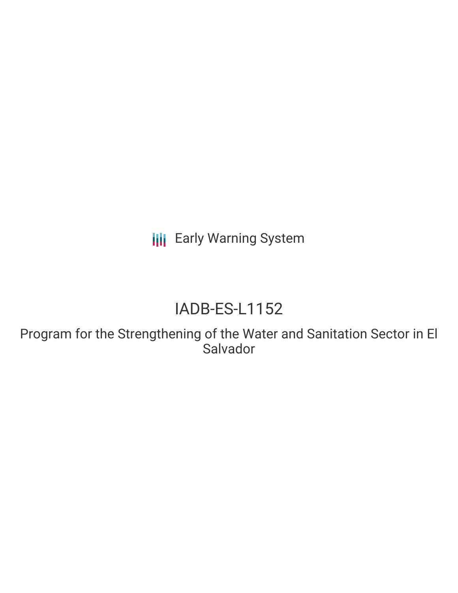**III** Early Warning System

# IADB-ES-L1152

Program for the Strengthening of the Water and Sanitation Sector in El Salvador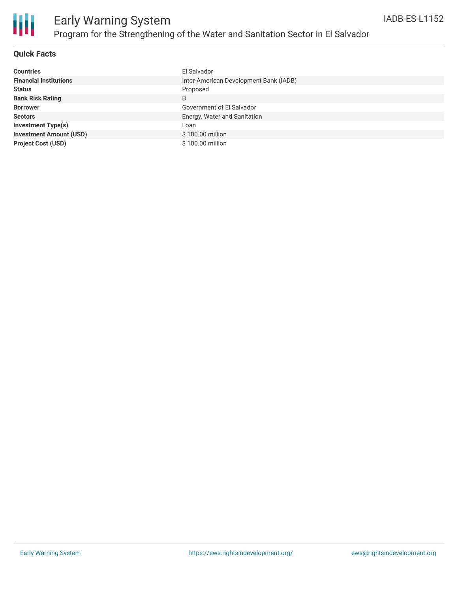

## **Quick Facts**

| <b>Countries</b>               | El Salvador                            |
|--------------------------------|----------------------------------------|
| <b>Financial Institutions</b>  | Inter-American Development Bank (IADB) |
| <b>Status</b>                  | Proposed                               |
| <b>Bank Risk Rating</b>        | B                                      |
| <b>Borrower</b>                | Government of El Salvador              |
| <b>Sectors</b>                 | Energy, Water and Sanitation           |
| <b>Investment Type(s)</b>      | Loan                                   |
| <b>Investment Amount (USD)</b> | \$100.00 million                       |
| <b>Project Cost (USD)</b>      | \$100.00 million                       |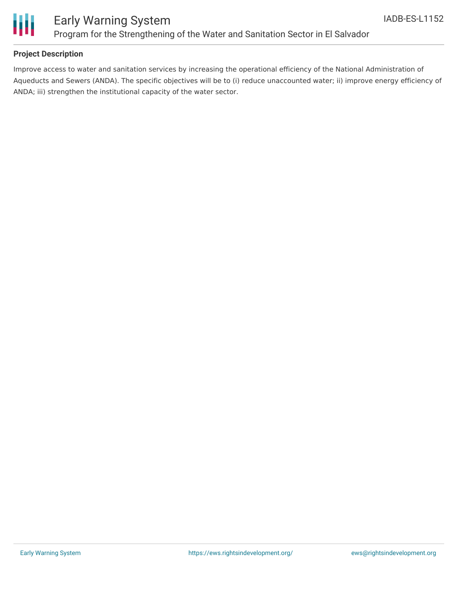

## **Project Description**

Improve access to water and sanitation services by increasing the operational efficiency of the National Administration of Aqueducts and Sewers (ANDA). The specific objectives will be to (i) reduce unaccounted water; ii) improve energy efficiency of ANDA; iii) strengthen the institutional capacity of the water sector.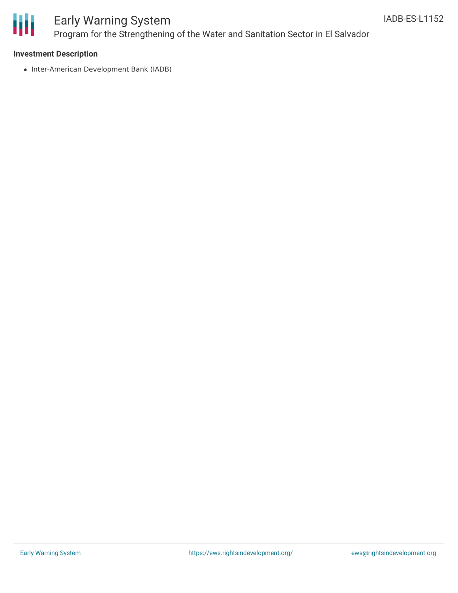

# Early Warning System Program for the Strengthening of the Water and Sanitation Sector in El Salvador

### **Investment Description**

• Inter-American Development Bank (IADB)